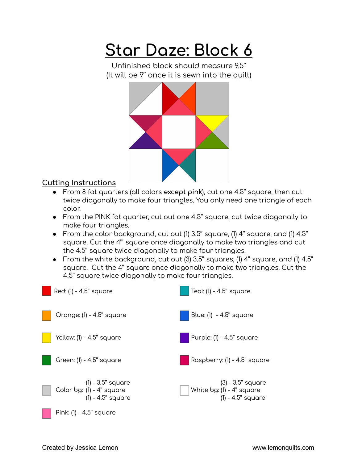## **Star Daze: Block 6**

Unfinished block should measure 9.5'' (It will be 9'' once it is sewn into the quilt)



## **Cutting Instructions**

- From 8 fat quarters (all colors **except pink**), cut one 4.5'' square, then cut twice diagonally to make four triangles. You only need one triangle of each color.
- From the PINK fat quarter, cut out one 4.5'' square, cut twice diagonally to make four triangles.
- From the color background, cut out (1) 3.5'' square, (1) 4'' square, and (1) 4.5'' square. Cut the 4''' square once diagonally to make two triangles and cut the 4.5'' square twice diagonally to make four triangles.
- From the white background, cut out (3) 3.5'' squares, (1) 4'' square, and (1) 4.5'' square. Cut the 4'' square once diagonally to make two triangles. Cut the 4.5'' square twice diagonally to make four triangles.

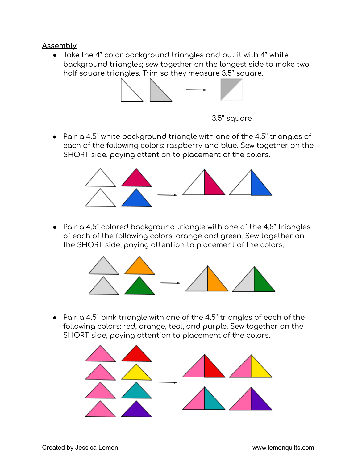## **Assembly**

● Take the 4'' color background triangles and put it with 4'' white background triangles; sew together on the longest side to make two half square triangles. Trim so they measure 3.5'' square.



3.5'' square

● Pair a 4.5'' white background triangle with one of the 4.5'' triangles of each of the following colors: raspberry and blue. Sew together on the SHORT side, paying attention to placement of the colors.



● Pair a 4.5'' colored background triangle with one of the 4.5'' triangles of each of the following colors: orange and green. Sew together on the SHORT side, paying attention to placement of the colors.



● Pair a 4.5'' pink triangle with one of the 4.5'' triangles of each of the following colors: red, orange, teal, and purple. Sew together on the SHORT side, paying attention to placement of the colors.